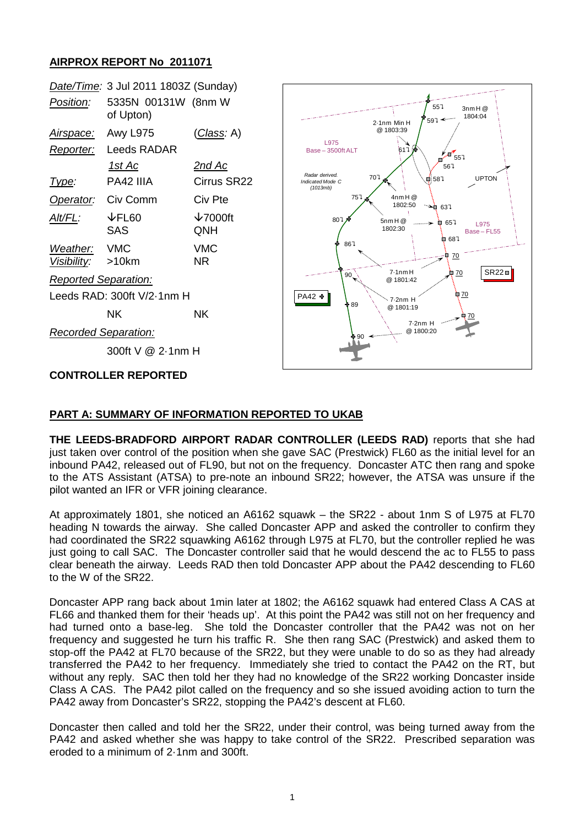## **AIRPROX REPORT No 2011071**

|                             | Date/Time: 3 Jul 2011 1803Z (Sunday) |                            |                                                                                            |
|-----------------------------|--------------------------------------|----------------------------|--------------------------------------------------------------------------------------------|
| Position:                   | 5335N 00131W (8nm W<br>of Upton)     |                            | 557<br>$3$ nm $H@$<br>1804:04<br>$597 -$<br>2-1nm Min H                                    |
| Airspace:                   | <b>Awy L975</b>                      | <u>(Class</u> : A)         | @ 1803:39                                                                                  |
| Reporter:                   | Leeds RADAR                          |                            | L975<br>$617 +$<br>Base - 3500ft ALT                                                       |
|                             | 1st Ac                               | <u>2nd Ac</u>              | 557<br>567                                                                                 |
| Type:                       | PA42 IIIA                            | Cirrus SR22                | Radar derived.<br>707<br><b>UPTON</b><br>$\frac{1}{2}$ 587<br>Indicated Mode C<br>(1013mb) |
| Operator:                   | Civ Comm                             | Civ Pte                    | 757<br>$4$ nm $H@$<br>1802:50<br>$\rightarrow 637$                                         |
| $Alt/FL$ :                  | $\downarrow$ FL60<br><b>SAS</b>      | $\downarrow$ 7000ft<br>QNH | 807<br>5nmH@<br>0.657<br>L975<br>1802:30<br>Base-FL55<br>₿ 687                             |
| Weather:<br>Visibility:     | <b>VMC</b><br>>10km                  | <b>VMC</b><br><b>NR</b>    | 867<br>ą<br>70                                                                             |
| <b>Reported Separation:</b> |                                      |                            | $S$ R22 $\Box$<br>7.1nmH<br>70<br>Þ<br>$90^{\circ}$<br>@ 1801:42                           |
| Leeds RAD: 300ft V/2-1nm H  |                                      |                            | <u> 70</u><br>PA42 +<br>$7.2nm$ H                                                          |
|                             | <b>NK</b>                            | <b>NK</b>                  | ∲ 89<br>@ 1801:19<br>$7.2nm$ H                                                             |
| <b>Recorded Separation:</b> |                                      |                            | @ 1800:20<br>⊩90                                                                           |
| 300ft V @ 2-1nm H           |                                      |                            |                                                                                            |
| <b>CONTROLLER REPORTED</b>  |                                      |                            |                                                                                            |

## **PART A: SUMMARY OF INFORMATION REPORTED TO UKAB**

**THE LEEDS-BRADFORD AIRPORT RADAR CONTROLLER (LEEDS RAD)** reports that she had just taken over control of the position when she gave SAC (Prestwick) FL60 as the initial level for an inbound PA42, released out of FL90, but not on the frequency. Doncaster ATC then rang and spoke to the ATS Assistant (ATSA) to pre-note an inbound SR22; however, the ATSA was unsure if the pilot wanted an IFR or VFR joining clearance.

At approximately 1801, she noticed an A6162 squawk – the SR22 - about 1nm S of L975 at FL70 heading N towards the airway. She called Doncaster APP and asked the controller to confirm they had coordinated the SR22 squawking A6162 through L975 at FL70, but the controller replied he was just going to call SAC. The Doncaster controller said that he would descend the ac to FL55 to pass clear beneath the airway. Leeds RAD then told Doncaster APP about the PA42 descending to FL60 to the W of the SR22.

Doncaster APP rang back about 1min later at 1802; the A6162 squawk had entered Class A CAS at FL66 and thanked them for their 'heads up'. At this point the PA42 was still not on her frequency and had turned onto a base-leg. She told the Doncaster controller that the PA42 was not on her frequency and suggested he turn his traffic R. She then rang SAC (Prestwick) and asked them to stop-off the PA42 at FL70 because of the SR22, but they were unable to do so as they had already transferred the PA42 to her frequency. Immediately she tried to contact the PA42 on the RT, but without any reply. SAC then told her they had no knowledge of the SR22 working Doncaster inside Class A CAS. The PA42 pilot called on the frequency and so she issued avoiding action to turn the PA42 away from Doncaster's SR22, stopping the PA42's descent at FL60.

Doncaster then called and told her the SR22, under their control, was being turned away from the PA42 and asked whether she was happy to take control of the SR22. Prescribed separation was eroded to a minimum of 2·1nm and 300ft.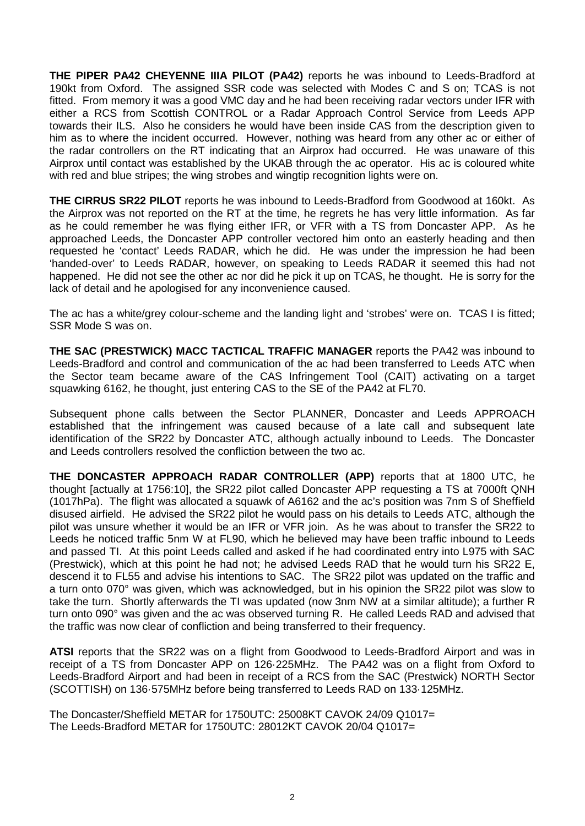**THE PIPER PA42 CHEYENNE IIIA PILOT (PA42)** reports he was inbound to Leeds-Bradford at 190kt from Oxford. The assigned SSR code was selected with Modes C and S on; TCAS is not fitted. From memory it was a good VMC day and he had been receiving radar vectors under IFR with either a RCS from Scottish CONTROL or a Radar Approach Control Service from Leeds APP towards their ILS. Also he considers he would have been inside CAS from the description given to him as to where the incident occurred. However, nothing was heard from any other ac or either of the radar controllers on the RT indicating that an Airprox had occurred. He was unaware of this Airprox until contact was established by the UKAB through the ac operator. His ac is coloured white with red and blue stripes; the wing strobes and wingtip recognition lights were on.

**THE CIRRUS SR22 PILOT** reports he was inbound to Leeds-Bradford from Goodwood at 160kt. As the Airprox was not reported on the RT at the time, he regrets he has very little information. As far as he could remember he was flying either IFR, or VFR with a TS from Doncaster APP. As he approached Leeds, the Doncaster APP controller vectored him onto an easterly heading and then requested he 'contact' Leeds RADAR, which he did. He was under the impression he had been 'handed-over' to Leeds RADAR, however, on speaking to Leeds RADAR it seemed this had not happened. He did not see the other ac nor did he pick it up on TCAS, he thought. He is sorry for the lack of detail and he apologised for any inconvenience caused.

The ac has a white/grey colour-scheme and the landing light and 'strobes' were on. TCAS I is fitted; SSR Mode S was on.

**THE SAC (PRESTWICK) MACC TACTICAL TRAFFIC MANAGER** reports the PA42 was inbound to Leeds-Bradford and control and communication of the ac had been transferred to Leeds ATC when the Sector team became aware of the CAS Infringement Tool (CAIT) activating on a target squawking 6162, he thought, just entering CAS to the SE of the PA42 at FL70.

Subsequent phone calls between the Sector PLANNER, Doncaster and Leeds APPROACH established that the infringement was caused because of a late call and subsequent late identification of the SR22 by Doncaster ATC, although actually inbound to Leeds. The Doncaster and Leeds controllers resolved the confliction between the two ac.

**THE DONCASTER APPROACH RADAR CONTROLLER (APP)** reports that at 1800 UTC, he thought [actually at 1756:10], the SR22 pilot called Doncaster APP requesting a TS at 7000ft QNH (1017hPa). The flight was allocated a squawk of A6162 and the ac's position was 7nm S of Sheffield disused airfield. He advised the SR22 pilot he would pass on his details to Leeds ATC, although the pilot was unsure whether it would be an IFR or VFR join. As he was about to transfer the SR22 to Leeds he noticed traffic 5nm W at FL90, which he believed may have been traffic inbound to Leeds and passed TI. At this point Leeds called and asked if he had coordinated entry into L975 with SAC (Prestwick), which at this point he had not; he advised Leeds RAD that he would turn his SR22 E, descend it to FL55 and advise his intentions to SAC. The SR22 pilot was updated on the traffic and a turn onto 070° was given, which was acknowledged, but in his opinion the SR22 pilot was slow to take the turn. Shortly afterwards the TI was updated (now 3nm NW at a similar altitude); a further R turn onto 090° was given and the ac was observed turning R. He called Leeds RAD and advised that the traffic was now clear of confliction and being transferred to their frequency.

**ATSI** reports that the SR22 was on a flight from Goodwood to Leeds-Bradford Airport and was in receipt of a TS from Doncaster APP on 126·225MHz. The PA42 was on a flight from Oxford to Leeds-Bradford Airport and had been in receipt of a RCS from the SAC (Prestwick) NORTH Sector (SCOTTISH) on 136·575MHz before being transferred to Leeds RAD on 133·125MHz.

The Doncaster/Sheffield METAR for 1750UTC: 25008KT CAVOK 24/09 Q1017= The Leeds-Bradford METAR for 1750UTC: 28012KT CAVOK 20/04 Q1017=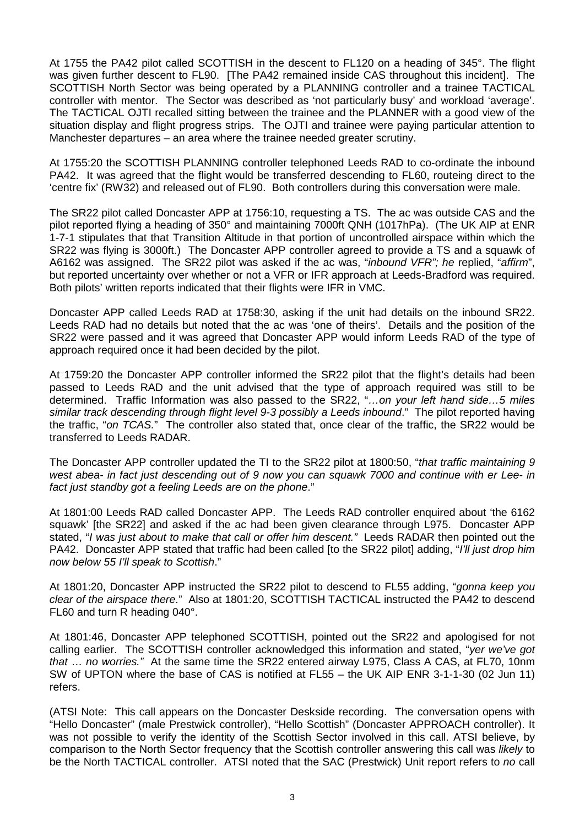At 1755 the PA42 pilot called SCOTTISH in the descent to FL120 on a heading of 345°. The flight was given further descent to FL90. [The PA42 remained inside CAS throughout this incident]. The SCOTTISH North Sector was being operated by a PLANNING controller and a trainee TACTICAL controller with mentor. The Sector was described as 'not particularly busy' and workload 'average'. The TACTICAL OJTI recalled sitting between the trainee and the PLANNER with a good view of the situation display and flight progress strips. The OJTI and trainee were paying particular attention to Manchester departures – an area where the trainee needed greater scrutiny.

At 1755:20 the SCOTTISH PLANNING controller telephoned Leeds RAD to co-ordinate the inbound PA42. It was agreed that the flight would be transferred descending to FL60, routeing direct to the 'centre fix' (RW32) and released out of FL90. Both controllers during this conversation were male.

The SR22 pilot called Doncaster APP at 1756:10, requesting a TS. The ac was outside CAS and the pilot reported flying a heading of 350° and maintaining 7000ft QNH (1017hPa). (The UK AIP at ENR 1-7-1 stipulates that that Transition Altitude in that portion of uncontrolled airspace within which the SR22 was flying is 3000ft.) The Doncaster APP controller agreed to provide a TS and a squawk of A6162 was assigned. The SR22 pilot was asked if the ac was, "*inbound VFR"; he* replied, "*affirm*", but reported uncertainty over whether or not a VFR or IFR approach at Leeds-Bradford was required. Both pilots' written reports indicated that their flights were IFR in VMC.

Doncaster APP called Leeds RAD at 1758:30, asking if the unit had details on the inbound SR22. Leeds RAD had no details but noted that the ac was 'one of theirs'. Details and the position of the SR22 were passed and it was agreed that Doncaster APP would inform Leeds RAD of the type of approach required once it had been decided by the pilot.

At 1759:20 the Doncaster APP controller informed the SR22 pilot that the flight's details had been passed to Leeds RAD and the unit advised that the type of approach required was still to be determined. Traffic Information was also passed to the SR22, "*…on your left hand side…5 miles similar track descending through flight level 9-3 possibly a Leeds inbound*." The pilot reported having the traffic, "*on TCAS.*" The controller also stated that, once clear of the traffic, the SR22 would be transferred to Leeds RADAR.

The Doncaster APP controller updated the TI to the SR22 pilot at 1800:50, "*that traffic maintaining 9 west abea- in fact just descending out of 9 now you can squawk 7000 and continue with er Lee- in fact just standby got a feeling Leeds are on the phone*."

At 1801:00 Leeds RAD called Doncaster APP. The Leeds RAD controller enquired about 'the 6162 squawk' [the SR22] and asked if the ac had been given clearance through L975. Doncaster APP stated, "*I was just about to make that call or offer him descent."* Leeds RADAR then pointed out the PA42. Doncaster APP stated that traffic had been called [to the SR22 pilot] adding, "*I'll just drop him now below 55 I'll speak to Scottish*."

At 1801:20, Doncaster APP instructed the SR22 pilot to descend to FL55 adding, "*gonna keep you clear of the airspace there*." Also at 1801:20, SCOTTISH TACTICAL instructed the PA42 to descend FL60 and turn R heading 040°.

At 1801:46, Doncaster APP telephoned SCOTTISH, pointed out the SR22 and apologised for not calling earlier. The SCOTTISH controller acknowledged this information and stated, "*yer we've got that* … *no worries."* At the same time the SR22 entered airway L975, Class A CAS, at FL70, 10nm SW of UPTON where the base of CAS is notified at FL55 – the UK AIP ENR 3-1-1-30 (02 Jun 11) refers.

(ATSI Note: This call appears on the Doncaster Deskside recording. The conversation opens with "Hello Doncaster" (male Prestwick controller), "Hello Scottish" (Doncaster APPROACH controller). It was not possible to verify the identity of the Scottish Sector involved in this call. ATSI believe, by comparison to the North Sector frequency that the Scottish controller answering this call was *likely* to be the North TACTICAL controller. ATSI noted that the SAC (Prestwick) Unit report refers to *no* call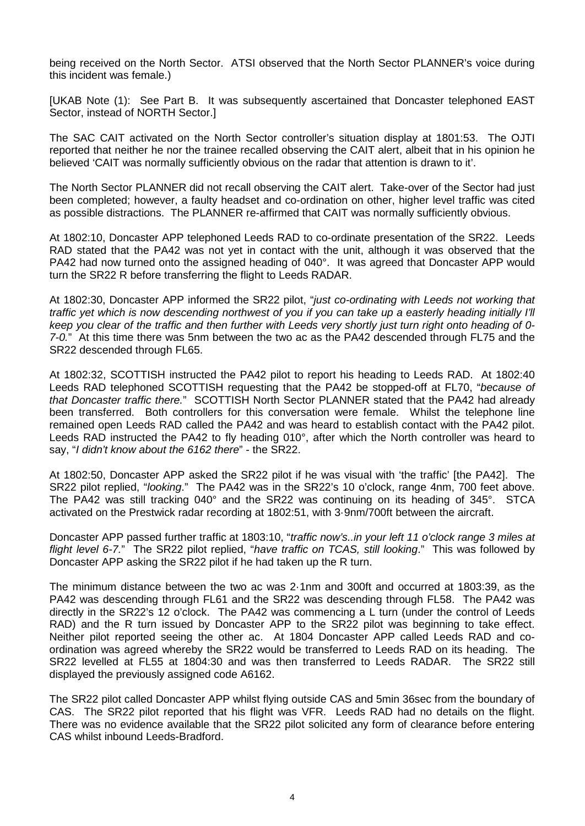being received on the North Sector. ATSI observed that the North Sector PLANNER's voice during this incident was female.)

[UKAB Note (1): See Part B. It was subsequently ascertained that Doncaster telephoned EAST Sector, instead of NORTH Sector.]

The SAC CAIT activated on the North Sector controller's situation display at 1801:53. The OJTI reported that neither he nor the trainee recalled observing the CAIT alert, albeit that in his opinion he believed 'CAIT was normally sufficiently obvious on the radar that attention is drawn to it'.

The North Sector PLANNER did not recall observing the CAIT alert. Take-over of the Sector had just been completed; however, a faulty headset and co-ordination on other, higher level traffic was cited as possible distractions. The PLANNER re-affirmed that CAIT was normally sufficiently obvious.

At 1802:10, Doncaster APP telephoned Leeds RAD to co-ordinate presentation of the SR22. Leeds RAD stated that the PA42 was not yet in contact with the unit, although it was observed that the PA42 had now turned onto the assigned heading of 040°. It was agreed that Doncaster APP would turn the SR22 R before transferring the flight to Leeds RADAR.

At 1802:30, Doncaster APP informed the SR22 pilot, "*just co-ordinating with Leeds not working that traffic yet which is now descending northwest of you if you can take up a easterly heading initially I'll keep you clear of the traffic and then further with Leeds very shortly just turn right onto heading of 0- 7-0.*" At this time there was 5nm between the two ac as the PA42 descended through FL75 and the SR22 descended through FL65.

At 1802:32, SCOTTISH instructed the PA42 pilot to report his heading to Leeds RAD. At 1802:40 Leeds RAD telephoned SCOTTISH requesting that the PA42 be stopped-off at FL70, "*because of that Doncaster traffic there.*" SCOTTISH North Sector PLANNER stated that the PA42 had already been transferred. Both controllers for this conversation were female. Whilst the telephone line remained open Leeds RAD called the PA42 and was heard to establish contact with the PA42 pilot. Leeds RAD instructed the PA42 to fly heading 010°, after which the North controller was heard to say, "*I didn't know about the 6162 there*" - the SR22.

At 1802:50, Doncaster APP asked the SR22 pilot if he was visual with 'the traffic' [the PA42]. The SR22 pilot replied, "*looking*." The PA42 was in the SR22's 10 o'clock, range 4nm, 700 feet above. The PA42 was still tracking 040° and the SR22 was continuing on its heading of 345°. STCA activated on the Prestwick radar recording at 1802:51, with 3·9nm/700ft between the aircraft.

Doncaster APP passed further traffic at 1803:10, "*traffic now's..in your left 11 o'clock range 3 miles at flight level 6-7.*" The SR22 pilot replied, "*have traffic on TCAS, still looking*." This was followed by Doncaster APP asking the SR22 pilot if he had taken up the R turn.

The minimum distance between the two ac was 2·1nm and 300ft and occurred at 1803:39, as the PA42 was descending through FL61 and the SR22 was descending through FL58. The PA42 was directly in the SR22's 12 o'clock. The PA42 was commencing a L turn (under the control of Leeds RAD) and the R turn issued by Doncaster APP to the SR22 pilot was beginning to take effect. Neither pilot reported seeing the other ac. At 1804 Doncaster APP called Leeds RAD and coordination was agreed whereby the SR22 would be transferred to Leeds RAD on its heading. The SR22 levelled at FL55 at 1804:30 and was then transferred to Leeds RADAR. The SR22 still displayed the previously assigned code A6162.

The SR22 pilot called Doncaster APP whilst flying outside CAS and 5min 36sec from the boundary of CAS. The SR22 pilot reported that his flight was VFR. Leeds RAD had no details on the flight. There was no evidence available that the SR22 pilot solicited any form of clearance before entering CAS whilst inbound Leeds-Bradford.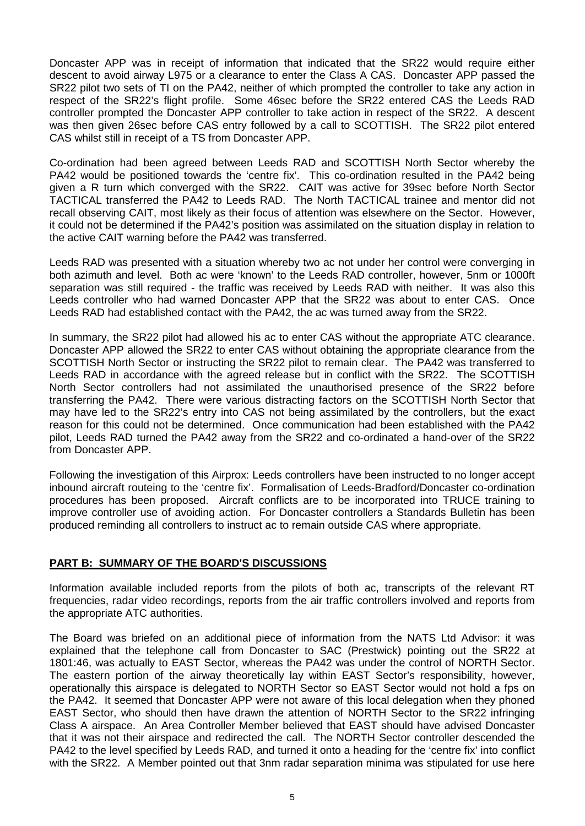Doncaster APP was in receipt of information that indicated that the SR22 would require either descent to avoid airway L975 or a clearance to enter the Class A CAS. Doncaster APP passed the SR22 pilot two sets of TI on the PA42, neither of which prompted the controller to take any action in respect of the SR22's flight profile. Some 46sec before the SR22 entered CAS the Leeds RAD controller prompted the Doncaster APP controller to take action in respect of the SR22. A descent was then given 26sec before CAS entry followed by a call to SCOTTISH. The SR22 pilot entered CAS whilst still in receipt of a TS from Doncaster APP.

Co-ordination had been agreed between Leeds RAD and SCOTTISH North Sector whereby the PA42 would be positioned towards the 'centre fix'. This co-ordination resulted in the PA42 being given a R turn which converged with the SR22. CAIT was active for 39sec before North Sector TACTICAL transferred the PA42 to Leeds RAD. The North TACTICAL trainee and mentor did not recall observing CAIT, most likely as their focus of attention was elsewhere on the Sector. However, it could not be determined if the PA42's position was assimilated on the situation display in relation to the active CAIT warning before the PA42 was transferred.

Leeds RAD was presented with a situation whereby two ac not under her control were converging in both azimuth and level. Both ac were 'known' to the Leeds RAD controller, however, 5nm or 1000ft separation was still required - the traffic was received by Leeds RAD with neither. It was also this Leeds controller who had warned Doncaster APP that the SR22 was about to enter CAS. Once Leeds RAD had established contact with the PA42, the ac was turned away from the SR22.

In summary, the SR22 pilot had allowed his ac to enter CAS without the appropriate ATC clearance. Doncaster APP allowed the SR22 to enter CAS without obtaining the appropriate clearance from the SCOTTISH North Sector or instructing the SR22 pilot to remain clear. The PA42 was transferred to Leeds RAD in accordance with the agreed release but in conflict with the SR22. The SCOTTISH North Sector controllers had not assimilated the unauthorised presence of the SR22 before transferring the PA42. There were various distracting factors on the SCOTTISH North Sector that may have led to the SR22's entry into CAS not being assimilated by the controllers, but the exact reason for this could not be determined. Once communication had been established with the PA42 pilot, Leeds RAD turned the PA42 away from the SR22 and co-ordinated a hand-over of the SR22 from Doncaster APP.

Following the investigation of this Airprox: Leeds controllers have been instructed to no longer accept inbound aircraft routeing to the 'centre fix'. Formalisation of Leeds-Bradford/Doncaster co-ordination procedures has been proposed. Aircraft conflicts are to be incorporated into TRUCE training to improve controller use of avoiding action. For Doncaster controllers a Standards Bulletin has been produced reminding all controllers to instruct ac to remain outside CAS where appropriate.

## **PART B: SUMMARY OF THE BOARD'S DISCUSSIONS**

Information available included reports from the pilots of both ac, transcripts of the relevant RT frequencies, radar video recordings, reports from the air traffic controllers involved and reports from the appropriate ATC authorities.

The Board was briefed on an additional piece of information from the NATS Ltd Advisor: it was explained that the telephone call from Doncaster to SAC (Prestwick) pointing out the SR22 at 1801:46, was actually to EAST Sector, whereas the PA42 was under the control of NORTH Sector. The eastern portion of the airway theoretically lay within EAST Sector's responsibility, however, operationally this airspace is delegated to NORTH Sector so EAST Sector would not hold a fps on the PA42. It seemed that Doncaster APP were not aware of this local delegation when they phoned EAST Sector, who should then have drawn the attention of NORTH Sector to the SR22 infringing Class A airspace. An Area Controller Member believed that EAST should have advised Doncaster that it was not their airspace and redirected the call. The NORTH Sector controller descended the PA42 to the level specified by Leeds RAD, and turned it onto a heading for the 'centre fix' into conflict with the SR22. A Member pointed out that 3nm radar separation minima was stipulated for use here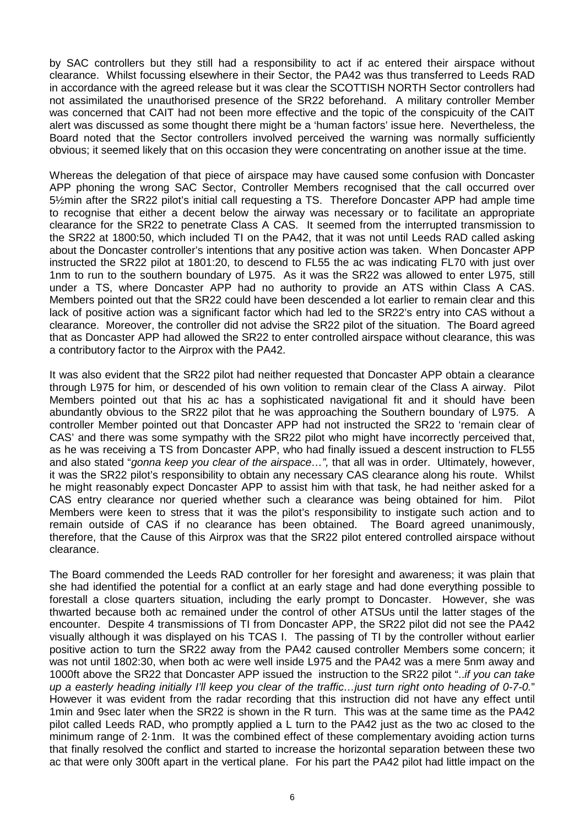by SAC controllers but they still had a responsibility to act if ac entered their airspace without clearance. Whilst focussing elsewhere in their Sector, the PA42 was thus transferred to Leeds RAD in accordance with the agreed release but it was clear the SCOTTISH NORTH Sector controllers had not assimilated the unauthorised presence of the SR22 beforehand. A military controller Member was concerned that CAIT had not been more effective and the topic of the conspicuity of the CAIT alert was discussed as some thought there might be a 'human factors' issue here. Nevertheless, the Board noted that the Sector controllers involved perceived the warning was normally sufficiently obvious; it seemed likely that on this occasion they were concentrating on another issue at the time.

Whereas the delegation of that piece of airspace may have caused some confusion with Doncaster APP phoning the wrong SAC Sector, Controller Members recognised that the call occurred over 5½min after the SR22 pilot's initial call requesting a TS. Therefore Doncaster APP had ample time to recognise that either a decent below the airway was necessary or to facilitate an appropriate clearance for the SR22 to penetrate Class A CAS. It seemed from the interrupted transmission to the SR22 at 1800:50, which included TI on the PA42, that it was not until Leeds RAD called asking about the Doncaster controller's intentions that any positive action was taken. When Doncaster APP instructed the SR22 pilot at 1801:20, to descend to FL55 the ac was indicating FL70 with just over 1nm to run to the southern boundary of L975. As it was the SR22 was allowed to enter L975, still under a TS, where Doncaster APP had no authority to provide an ATS within Class A CAS. Members pointed out that the SR22 could have been descended a lot earlier to remain clear and this lack of positive action was a significant factor which had led to the SR22's entry into CAS without a clearance. Moreover, the controller did not advise the SR22 pilot of the situation. The Board agreed that as Doncaster APP had allowed the SR22 to enter controlled airspace without clearance, this was a contributory factor to the Airprox with the PA42.

It was also evident that the SR22 pilot had neither requested that Doncaster APP obtain a clearance through L975 for him, or descended of his own volition to remain clear of the Class A airway. Pilot Members pointed out that his ac has a sophisticated navigational fit and it should have been abundantly obvious to the SR22 pilot that he was approaching the Southern boundary of L975. A controller Member pointed out that Doncaster APP had not instructed the SR22 to 'remain clear of CAS' and there was some sympathy with the SR22 pilot who might have incorrectly perceived that, as he was receiving a TS from Doncaster APP, who had finally issued a descent instruction to FL55 and also stated "*gonna keep you clear of the airspace…",* that all was in order. Ultimately, however, it was the SR22 pilot's responsibility to obtain any necessary CAS clearance along his route. Whilst he might reasonably expect Doncaster APP to assist him with that task, he had neither asked for a CAS entry clearance nor queried whether such a clearance was being obtained for him. Pilot Members were keen to stress that it was the pilot's responsibility to instigate such action and to remain outside of CAS if no clearance has been obtained. The Board agreed unanimously, therefore, that the Cause of this Airprox was that the SR22 pilot entered controlled airspace without clearance.

The Board commended the Leeds RAD controller for her foresight and awareness; it was plain that she had identified the potential for a conflict at an early stage and had done everything possible to forestall a close quarters situation, including the early prompt to Doncaster. However, she was thwarted because both ac remained under the control of other ATSUs until the latter stages of the encounter. Despite 4 transmissions of TI from Doncaster APP, the SR22 pilot did not see the PA42 visually although it was displayed on his TCAS I. The passing of TI by the controller without earlier positive action to turn the SR22 away from the PA42 caused controller Members some concern; it was not until 1802:30, when both ac were well inside L975 and the PA42 was a mere 5nm away and 1000ft above the SR22 that Doncaster APP issued the instruction to the SR22 pilot "..*if you can take up a easterly heading initially I'll keep you clear of the traffic…just turn right onto heading of 0-7-0.*" However it was evident from the radar recording that this instruction did not have any effect until 1min and 9sec later when the SR22 is shown in the R turn. This was at the same time as the PA42 pilot called Leeds RAD, who promptly applied a L turn to the PA42 just as the two ac closed to the minimum range of 2·1nm. It was the combined effect of these complementary avoiding action turns that finally resolved the conflict and started to increase the horizontal separation between these two ac that were only 300ft apart in the vertical plane. For his part the PA42 pilot had little impact on the